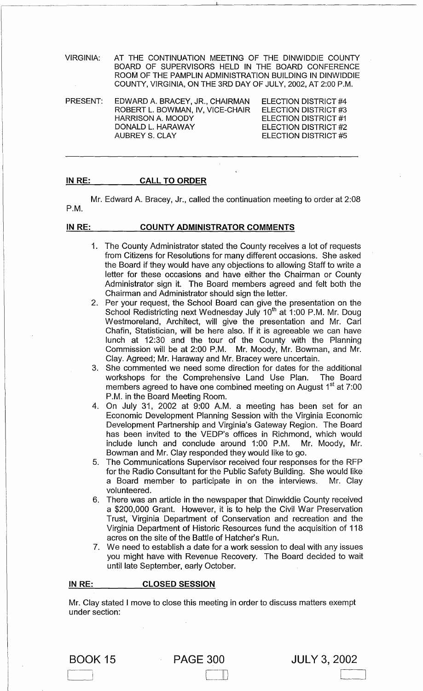VIRGINIA: AT THE CONTINUATION MEETING OF THE DINWIDDIE COUNTY BOARD OF SUPERVISORS HELD IN THE BOARD CONFERENCE ROOM OF THE PAMPLIN ADMINISTRATION BUILDING IN DINWIDDIE COUNTY, VIRGINIA, ON THE 3RD DAY OF JULY, 2002, AT 2:00 P.M.

PRESENT: EDWARD A. BRACEY, JR., CHAIRMAN ROBERT L. BOWMAN, IV, VICE-CHAIR ELECTION DISTRICT #3 HARRISON A. MOODY ELECTION DISTRICT #4 ELECTION DISTRICT #1 ELECTION DISTRICT #2 ELECTION DISTRICT #5 DONALD L. HARAWAY AUBREY S. CLAY

#### IN RE: CALL TO ORDER

P.M. Mr. Edward A. Bracey, Jr., called the continuation meeting to order at 2:08

#### IN RE:  $\qquad \qquad$ COUNTY ADMINISTRATOR COMMENTS

- 1. The County Administrator stated the County receives a lot of requests from Citizens for Resolutions for many different occasions. She asked the Board if they would have any objections to allowing Staff to write a letter for these occasions and have either the Chairman or County Administrator sign it. The Board members agreed and felt both the Chairman and Administrator should sign the letter.
- 2. Per your request, the School Board can give the presentation on the School Redistricting next Wednesday July 10<sup>th</sup> at 1:00 P.M. Mr. Doug Westmoreland, Architect, will give the presentation and Mr. Carl Chafin, Statistician, will be here also. If it is agreeable we can have lunch at 12:30 and the tour of the County with the Planning Commission will be at 2:00 P.M. Mr. Moody, Mr. Bowman, and Mr. Clay. Agreed; Mr. Haraway and Mr. Bracey were uncertain.
- 3. She commented we need some direction for dates for the additional workshops for the Comprehensive Land Use Plan. The Board members agreed to have one combined meeting on August 1<sup>st</sup> at 7:00 P.M. in the Board Meeting Room.
- 4. On July 31, 2002 at 9:00 A.M. a meeting has been set for an Economic Development Planning Session with the Virginia Economic Development Partnership and Virginia's Gateway Region. The Board has been invited to the VEDP's offices in Richmond, which would include lunch and conclude around 1:00 P.M. Mr. Moody, Mr. Bowman and Mr. Clay responded they would like to go.
- 5. The Communications Supervisor received four responses for the RFP for the Radio Consultant for the Public Safety Building. She would like a Board member to participate in on the interviews. Mr. Clay volunteered.
- 6. There was an article in the newspaper that Dinwiddie County received a \$200,000 Grant. However, it is to help the Civil War Preservation Trust, Virginia Department of Conservation and recreation and the Virginia Department of Historic Resources fund the acquisition of 118 acres on the site of the Battle of Hatcher's Run.
- 7. We need to establish a date for a work session to deal with any issues you might have with Revenue Recovery. The Board decided to wait until late September, early October.

## IN RE: CLOSED SESSION

Mr. Clay stated I move to close this meeting in order to discuss matters exempt under section:

ell

JULY 3,2002

 $\overline{\phantom{a}}$ 

PAGE 300

BOOK 15

I .